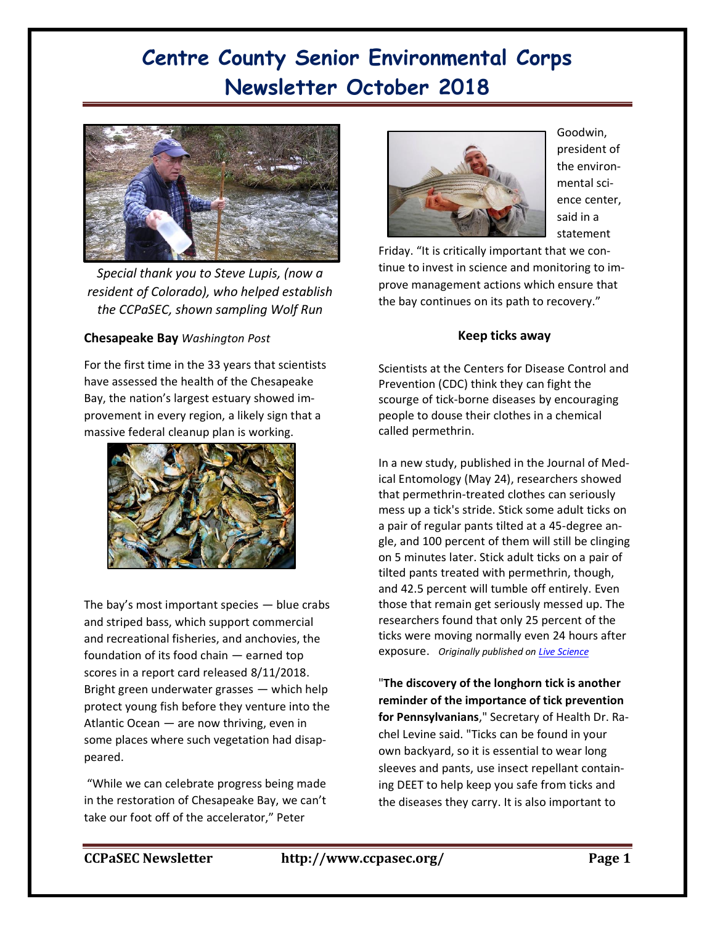

*Special thank you to Steve Lupis, (now a resident of Colorado), who helped establish the CCPaSEC, shown sampling Wolf Run* 

#### **Chesapeake Bay** *Washington Post*

For the first time in the 33 years that scientists have assessed the health of the Chesapeake Bay, the nation's largest estuary showed improvement in every region, a likely sign that a massive federal cleanup plan is working.



The bay's most important species — blue crabs and striped bass, which support commercial and recreational fisheries, and anchovies, the foundation of its food chain — earned top scores in a report card released 8/11/2018. Bright green underwater grasses — which help protect young fish before they venture into the Atlantic Ocean — are now thriving, even in some places where such vegetation had disappeared.

"While we can celebrate progress being made in the restoration of Chesapeake Bay, we can't take our foot off of the accelerator," Peter



Goodwin, president of the environmental science center, said in a statement

Friday. "It is critically important that we continue to invest in science and monitoring to improve management actions which ensure that the bay continues on its path to recovery."

#### **Keep ticks away**

Scientists at the Centers for Disease Control and Prevention (CDC) think they can fight the scourge of tick-borne diseases by encouraging people to douse their clothes in a chemical called permethrin.

In a new study, published in the Journal of Medical Entomology (May 24), researchers showed that permethrin-treated clothes can seriously mess up a tick's stride. Stick some adult ticks on a pair of regular pants tilted at a 45-degree angle, and 100 percent of them will still be clinging on 5 minutes later. Stick adult ticks on a pair of tilted pants treated with permethrin, though, and 42.5 percent will tumble off entirely. Even those that remain get seriously messed up. The researchers found that only 25 percent of the ticks were moving normally even 24 hours after exposure. *Originally published on [Live Science](https://www.livescience.com/)*

"**The discovery of the longhorn tick is another reminder of the importance of tick prevention for Pennsylvanians**," Secretary of Health Dr. Rachel Levine said. "Ticks can be found in your own backyard, so it is essential to wear long sleeves and pants, use insect repellant containing DEET to help keep you safe from ticks and the diseases they carry. It is also important to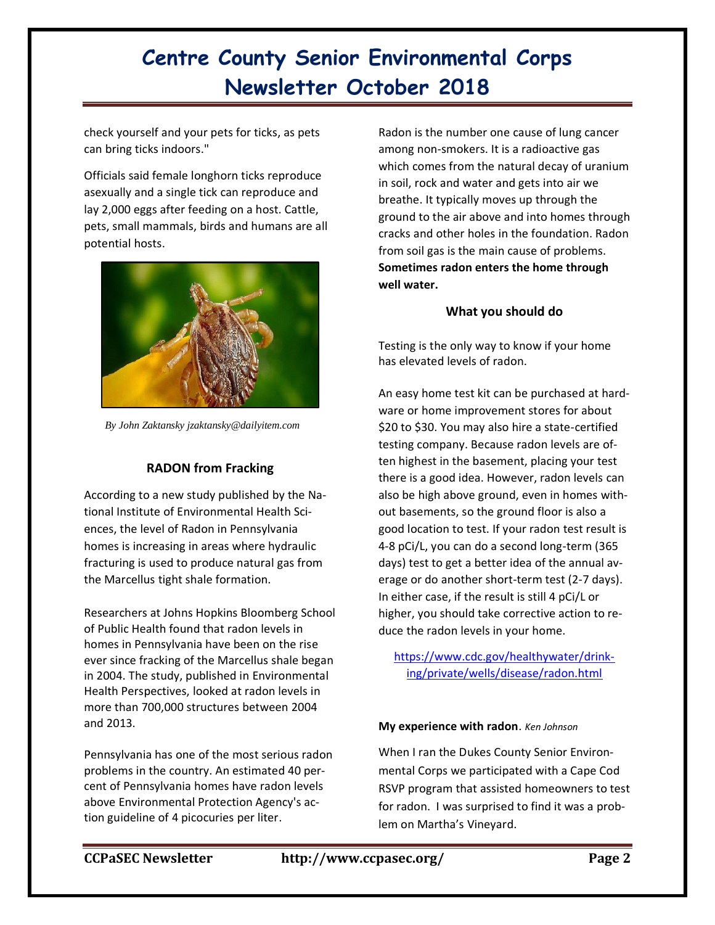check yourself and your pets for ticks, as pets can bring ticks indoors."

Officials said female longhorn ticks reproduce asexually and a single tick can reproduce and lay 2,000 eggs after feeding on a host. Cattle, pets, small mammals, birds and humans are all potential hosts.



*By John Zaktansky jzaktansky@dailyitem.com* 

## **RADON from Fracking**

According to a new study published by the National Institute of Environmental Health Sciences, the level of Radon in Pennsylvania homes is increasing in areas where hydraulic fracturing is used to produce natural gas from the Marcellus tight shale formation.

Researchers at Johns Hopkins Bloomberg School of Public Health found that radon levels in homes in Pennsylvania have been on the rise ever since fracking of the Marcellus shale began in 2004. The study, published in Environmental Health Perspectives, looked at radon levels in more than 700,000 structures between 2004 and 2013.

Pennsylvania has one of the most serious radon problems in the country. An estimated 40 percent of Pennsylvania homes have radon levels above Environmental Protection Agency's action guideline of 4 picocuries per liter.

Radon is the [number one](http://www.epa.gov/radon/healthrisks.html) cause of lung cancer among non-smokers. It is a radioactive gas which comes from the natural decay of uranium in soil, rock and water and gets into air we breathe. It typically moves up through the ground to the air above and into homes through cracks and other holes in the foundation. Radon from soil gas is the main cause of problems. **Sometimes radon enters the home through well water.**

### **What you should do**

Testing is the only way to know if your home has elevated levels of radon.

An easy home test kit can be purchased at hardware or home improvement stores for about \$20 to \$30. You may also hire a state-certified testing company. Because radon levels are often highest in the basement, placing your test there is a good idea. However, radon levels can also be high above ground, even in homes without basements, so the ground floor is also a good location to test. If your radon test result is 4-8 pCi/L, you can do a second long-term (365 days) test to get a better idea of the annual average or do another short-term test (2-7 days). In either case, if the result is still 4 pCi/L or higher, you should take corrective action to reduce the radon levels in your home.

https://www.cdc.gov/healthywater/drinking/private/wells/disease/radon.html

#### **My experience with radon**. *Ken Johnson*

When I ran the Dukes County Senior Environmental Corps we participated with a Cape Cod RSVP program that assisted homeowners to test for radon. I was surprised to find it was a problem on Martha's Vineyard.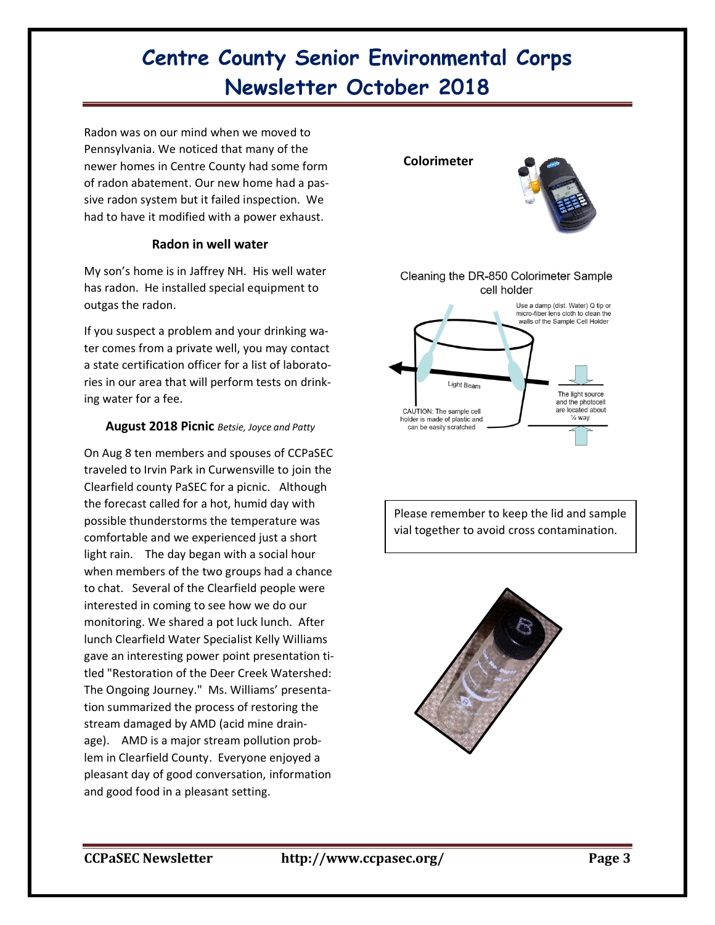Radon was on our mind when we moved to Pennsylvania. We noticed that many of the newer homes in Centre County had some form of radon abatement. Our new home had a passive radon system but it failed inspection. We had to have it modified with a power exhaust.

### **Radon in well water**

My son's home is in Jaffrey NH. His well water has radon. He installed special equipment to outgas the radon.

If you suspect a problem and your drinking water comes from a private well, you may contact a [state certification officer](http://www.epa.gov/dwlabcert) for a list of laboratories in our area that will perform tests on drinking water for a fee.

### **August 2018 Picnic** *Betsie, Joyce and Patty*

On Aug 8 ten members and spouses of CCPaSEC traveled to Irvin Park in Curwensville to join the Clearfield county PaSEC for a picnic. Although the forecast called for a hot, humid day with possible thunderstorms the temperature was comfortable and we experienced just a short light rain. The day began with a social hour when members of the two groups had a chance to chat. Several of the Clearfield people were interested in coming to see how we do our monitoring. We shared a pot luck lunch. After lunch Clearfield Water Specialist Kelly Williams gave an interesting power point presentation titled "Restoration of the Deer Creek Watershed: The Ongoing Journey." Ms. Williams' presentation summarized the process of restoring the stream damaged by AMD (acid mine drainage). AMD is a major stream pollution problem in Clearfield County. Everyone enjoyed a pleasant day of good conversation, information and good food in a pleasant setting.



Please remember to keep the lid and sample vial together to avoid cross contamination.